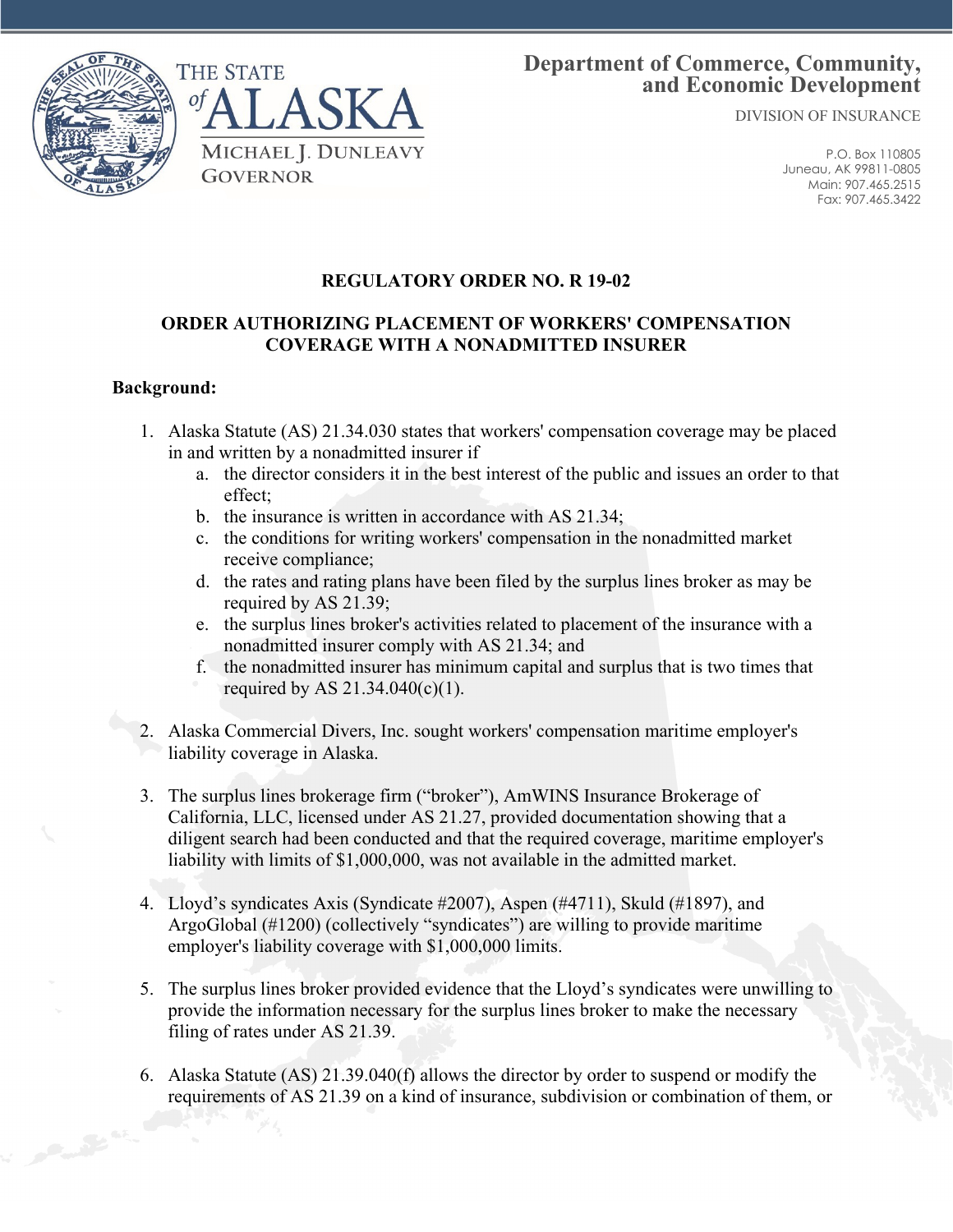

# **Department of Commerce, Community, and Economic Development**

DIVISION OF INSURANCE

P.O. Box 110805 Juneau, AK 99811-0805 Main: 907.465.2515 Fax: 907.465.3422

# **REGULATORY ORDER NO. R 19-02**

## **ORDER AUTHORIZING PLACEMENT OF WORKERS' COMPENSATION COVERAGE WITH A NONADMITTED INSURER**

#### **Background:**

- 1. Alaska Statute (AS) 21.34.030 states that workers' compensation coverage may be placed in and written by a nonadmitted insurer if
	- a. the director considers it in the best interest of the public and issues an order to that effect;
	- b. the insurance is written in accordance with AS 21.34;
	- c. the conditions for writing workers' compensation in the nonadmitted market receive compliance;
	- d. the rates and rating plans have been filed by the surplus lines broker as may be required by AS 21.39;
	- e. the surplus lines broker's activities related to placement of the insurance with a nonadmitted insurer comply with AS 21.34; and
	- f. the nonadmitted insurer has minimum capital and surplus that is two times that required by AS 21.34.040(c)(1).
- 2. Alaska Commercial Divers, Inc. sought workers' compensation maritime employer's liability coverage in Alaska.
- 3. The surplus lines brokerage firm ("broker"), AmWINS Insurance Brokerage of California, LLC, licensed under AS 21.27, provided documentation showing that a diligent search had been conducted and that the required coverage, maritime employer's liability with limits of \$1,000,000, was not available in the admitted market.
- 4. Lloyd's syndicates Axis (Syndicate #2007), Aspen (#4711), Skuld (#1897), and ArgoGlobal (#1200) (collectively "syndicates") are willing to provide maritime employer's liability coverage with \$1,000,000 limits.
- 5. The surplus lines broker provided evidence that the Lloyd's syndicates were unwilling to provide the information necessary for the surplus lines broker to make the necessary filing of rates under AS 21.39.
- 6. Alaska Statute (AS) 21.39.040(f) allows the director by order to suspend or modify the requirements of AS 21.39 on a kind of insurance, subdivision or combination of them, or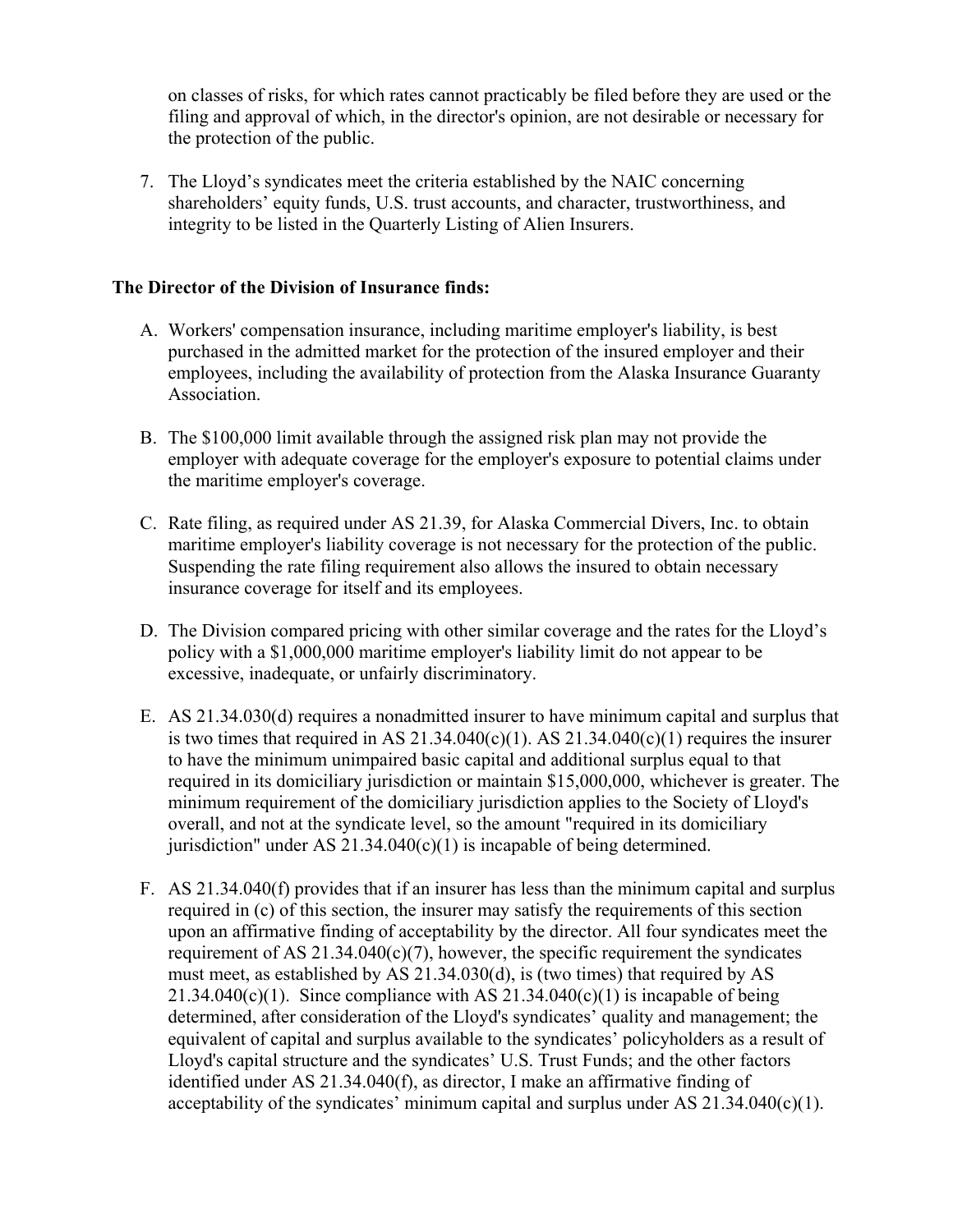on classes of risks, for which rates cannot practicably be filed before they are used or the filing and approval of which, in the director's opinion, are not desirable or necessary for the protection of the public.

7. The Lloyd's syndicates meet the criteria established by the NAIC concerning shareholders' equity funds, U.S. trust accounts, and character, trustworthiness, and integrity to be listed in the Quarterly Listing of Alien Insurers.

## **The Director of the Division of Insurance finds:**

- A. Workers' compensation insurance, including maritime employer's liability, is best purchased in the admitted market for the protection of the insured employer and their employees, including the availability of protection from the Alaska Insurance Guaranty Association.
- B. The \$100,000 limit available through the assigned risk plan may not provide the employer with adequate coverage for the employer's exposure to potential claims under the maritime employer's coverage.
- C. Rate filing, as required under AS 21.39, for Alaska Commercial Divers, Inc. to obtain maritime employer's liability coverage is not necessary for the protection of the public. Suspending the rate filing requirement also allows the insured to obtain necessary insurance coverage for itself and its employees.
- D. The Division compared pricing with other similar coverage and the rates for the Lloyd's policy with a \$1,000,000 maritime employer's liability limit do not appear to be excessive, inadequate, or unfairly discriminatory.
- E. AS 21.34.030(d) requires a nonadmitted insurer to have minimum capital and surplus that is two times that required in AS  $21.34.040(c)(1)$ . AS  $21.34.040(c)(1)$  requires the insurer to have the minimum unimpaired basic capital and additional surplus equal to that required in its domiciliary jurisdiction or maintain \$15,000,000, whichever is greater. The minimum requirement of the domiciliary jurisdiction applies to the Society of Lloyd's overall, and not at the syndicate level, so the amount "required in its domiciliary jurisdiction" under AS  $21.34.040(c)(1)$  is incapable of being determined.
- F. AS 21.34.040(f) provides that if an insurer has less than the minimum capital and surplus required in (c) of this section, the insurer may satisfy the requirements of this section upon an affirmative finding of acceptability by the director. All four syndicates meet the requirement of AS  $21.34.040(c)(7)$ , however, the specific requirement the syndicates must meet, as established by AS 21.34.030(d), is (two times) that required by AS 21.34.040(c)(1). Since compliance with AS  $21.34.040(c)(1)$  is incapable of being determined, after consideration of the Lloyd's syndicates' quality and management; the equivalent of capital and surplus available to the syndicates' policyholders as a result of Lloyd's capital structure and the syndicates' U.S. Trust Funds; and the other factors identified under AS 21.34.040(f), as director, I make an affirmative finding of acceptability of the syndicates' minimum capital and surplus under AS  $21.34.040(c)(1)$ .